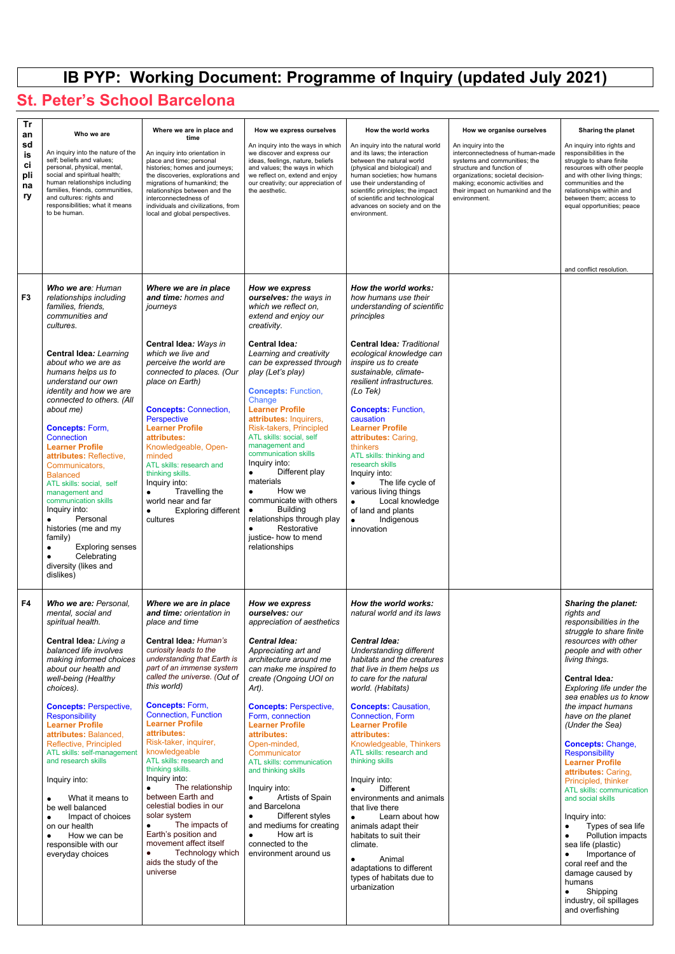## **IB PYP: Working Document: Programme of Inquiry (updated July 2021)**

## **St. Peter's School Barcelona**

| <b>Tr</b><br>an<br>sd<br>is<br>ci<br>pli<br>na<br>ry | Who we are<br>An inquiry into the nature of the<br>self; beliefs and values;<br>personal, physical, mental,<br>social and spiritual health;<br>human relationships including<br>families, friends, communities,<br>and cultures: rights and<br>responsibilities; what it means<br>to be human.                                                                                                                                                                                                                                                                                                                                                         | Where we are in place and<br>time<br>An inquiry into orientation in<br>place and time; personal<br>histories; homes and journeys;<br>the discoveries, explorations and<br>migrations of humankind; the<br>relationships between and the<br>interconnectedness of<br>individuals and civilizations, from<br>local and global perspectives.                                                                                                                                  | How we express ourselves<br>An inquiry into the ways in which<br>we discover and express our<br>ideas, feelings, nature, beliefs<br>and values; the ways in which<br>we reflect on, extend and enjoy<br>our creativity; our appreciation of<br>the aesthetic.                                                                                                                                                                                                                                                                                                                                                                                              | How the world works<br>An inquiry into the natural world<br>and its laws; the interaction<br>between the natural world<br>(physical and biological) and<br>human societies; how humans<br>use their understanding of<br>scientific principles; the impact<br>of scientific and technological<br>advances on society and on the<br>environment.                                                                                                                                                                                                                            | How we organise ourselves<br>An inquiry into the<br>interconnectedness of human-made<br>systems and communities; the<br>structure and function of<br>organizations; societal decision-<br>making; economic activities and<br>their impact on humankind and the<br>environment. | Sharing the planet<br>An inquiry into rights and<br>responsibilities in the<br>struggle to share finite<br>resources with other people<br>and with other living things;<br>communities and the<br>relationships within and<br>between them; access to<br>equal opportunities; peace         |
|------------------------------------------------------|--------------------------------------------------------------------------------------------------------------------------------------------------------------------------------------------------------------------------------------------------------------------------------------------------------------------------------------------------------------------------------------------------------------------------------------------------------------------------------------------------------------------------------------------------------------------------------------------------------------------------------------------------------|----------------------------------------------------------------------------------------------------------------------------------------------------------------------------------------------------------------------------------------------------------------------------------------------------------------------------------------------------------------------------------------------------------------------------------------------------------------------------|------------------------------------------------------------------------------------------------------------------------------------------------------------------------------------------------------------------------------------------------------------------------------------------------------------------------------------------------------------------------------------------------------------------------------------------------------------------------------------------------------------------------------------------------------------------------------------------------------------------------------------------------------------|---------------------------------------------------------------------------------------------------------------------------------------------------------------------------------------------------------------------------------------------------------------------------------------------------------------------------------------------------------------------------------------------------------------------------------------------------------------------------------------------------------------------------------------------------------------------------|--------------------------------------------------------------------------------------------------------------------------------------------------------------------------------------------------------------------------------------------------------------------------------|---------------------------------------------------------------------------------------------------------------------------------------------------------------------------------------------------------------------------------------------------------------------------------------------|
| F <sub>3</sub>                                       | Who we are: Human<br>relationships including<br>families, friends,<br>communities and<br>cultures.<br><b>Central Idea: Learning</b><br>about who we are as<br>humans helps us to<br>understand our own<br>identity and how we are<br>connected to others. (All<br>about me)<br><b>Concepts: Form,</b><br><b>Connection</b><br><b>Learner Profile</b><br>attributes: Reflective,<br>Communicators,<br><b>Balanced</b><br>ATL skills: social, self<br>management and<br>communication skills<br>Inquiry into:<br>Personal<br>histories (me and my<br>family)<br><b>Exploring senses</b><br>Celebrating<br>$\bullet$<br>diversity (likes and<br>dislikes) | Where we are in place<br>and time: homes and<br>journeys<br>Central Idea: Ways in<br>which we live and<br>perceive the world are<br>connected to places. (Our<br>place on Earth)<br><b>Concepts: Connection,</b><br>Perspective<br><b>Learner Profile</b><br>attributes:<br>Knowledgeable, Open-<br>minded<br>ATL skills: research and<br>thinking skills.<br>Inquiry into:<br>Travelling the<br>$\bullet$<br>world near and far<br><b>Exploring different</b><br>cultures | How we express<br>ourselves: the ways in<br>which we reflect on,<br>extend and enjoy our<br>creativity.<br><b>Central Idea:</b><br>Learning and creativity<br>can be expressed through<br>play (Let's play)<br><b>Concepts: Function,</b><br>Change<br><b>Learner Profile</b><br>attributes: Inquirers,<br>Risk-takers, Principled<br>ATL skills: social, self<br>management and<br>communication skills<br>Inquiry into:<br>Different play<br>$\bullet$<br>materials<br>How we<br>$\bullet$<br>communicate with others<br><b>Building</b><br>$\bullet$<br>relationships through play<br>Restorative<br>$\bullet$<br>justice- how to mend<br>relationships | How the world works:<br>how humans use their<br>understanding of scientific<br>principles<br><b>Central Idea: Traditional</b><br>ecological knowledge can<br>inspire us to create<br>sustainable, climate-<br>resilient infrastructures.<br>(Lo Tek)<br><b>Concepts: Function,</b><br>causation<br><b>Learner Profile</b><br>attributes: Caring,<br>thinkers<br>ATL skills: thinking and<br>research skills<br>Inquiry into:<br>The life cycle of<br>$\bullet$<br>various living things<br>Local knowledge<br>$\bullet$<br>of land and plants<br>Indigenous<br>innovation |                                                                                                                                                                                                                                                                                | and conflict resolution.                                                                                                                                                                                                                                                                    |
| F4                                                   | Who we are: Personal,<br>mental, social and<br>spiritual health.<br>Central Idea: Living a<br>balanced life involves<br>making informed choices<br>about our health and<br>well-being (Healthy<br>choices).<br><b>Concepts: Perspective,</b><br><b>Responsibility</b>                                                                                                                                                                                                                                                                                                                                                                                  | Where we are in place<br>and time: orientation in<br>place and time<br><b>Central Idea: Human's</b><br>curiosity leads to the<br>understanding that Earth is<br>part of an immense system<br>called the universe. (Out of<br>this world)<br><b>Concepts: Form,</b><br><b>Connection, Function</b>                                                                                                                                                                          | How we express<br>ourselves: our<br>appreciation of aesthetics<br><b>Central Idea:</b><br>Appreciating art and<br>architecture around me<br>can make me inspired to<br>create (Ongoing UOI on<br>Art).<br><b>Concepts: Perspective,</b><br>Form, connection                                                                                                                                                                                                                                                                                                                                                                                                | How the world works:<br>natural world and its laws<br><b>Central Idea:</b><br>Understanding different<br>habitats and the creatures<br>that live in them helps us<br>to care for the natural<br>world. (Habitats)<br><b>Concepts: Causation,</b><br><b>Connection, Form</b>                                                                                                                                                                                                                                                                                               |                                                                                                                                                                                                                                                                                | <b>Sharing the planet:</b><br>rights and<br>responsibilities in the<br>struggle to share finite<br>resources with other<br>people and with other<br>living things.<br><b>Central Idea:</b><br>Exploring life under the<br>sea enables us to know<br>the impact humans<br>have on the planet |

**Learner Profile attributes:** Balanced, Reflective, Principled ATL skills: self-management and research skills

Inquiry into:

● What it means to be well balanced

● Impact of choices on our health

● How we can be responsible with our everyday choices

**Learner Profile attributes:** Risk-taker, inquirer, knowledgeable ATL skills: research and thinking skills. Inquiry into:

● The relationship between Earth and celestial bodies in our solar system

● The impacts of Earth's position and movement affect itself ● Technology which

aids the study of the universe

**Learner Profile attributes:** Open-minded, **Communicator** ATL skills: communication and thinking skills

Inquiry into:

● Artists of Spain and Barcelona

● Different styles and mediums for creating

● How art is connected to the environment around us

**Learner Profile attributes:**  Knowledgeable, Thinkers ATL skills: research and thinking skills

Inquiry into:

● Different environments and animals that live there

● Learn about how animals adapt their habitats to suit their climate.

● Animal adaptations to different types of habitats due to urbanization

*(Under the Sea)*  **Concepts:** Change, **Responsibility Learner Profile attributes:** Caring, Principled, thinker ATL skills: communication

and social skills

Inquiry into:

● Types of sea life

● Pollution impacts sea life (plastic)

● Importance of coral reef and the damage caused by humans

● Shipping industry, oil spillages and overfishing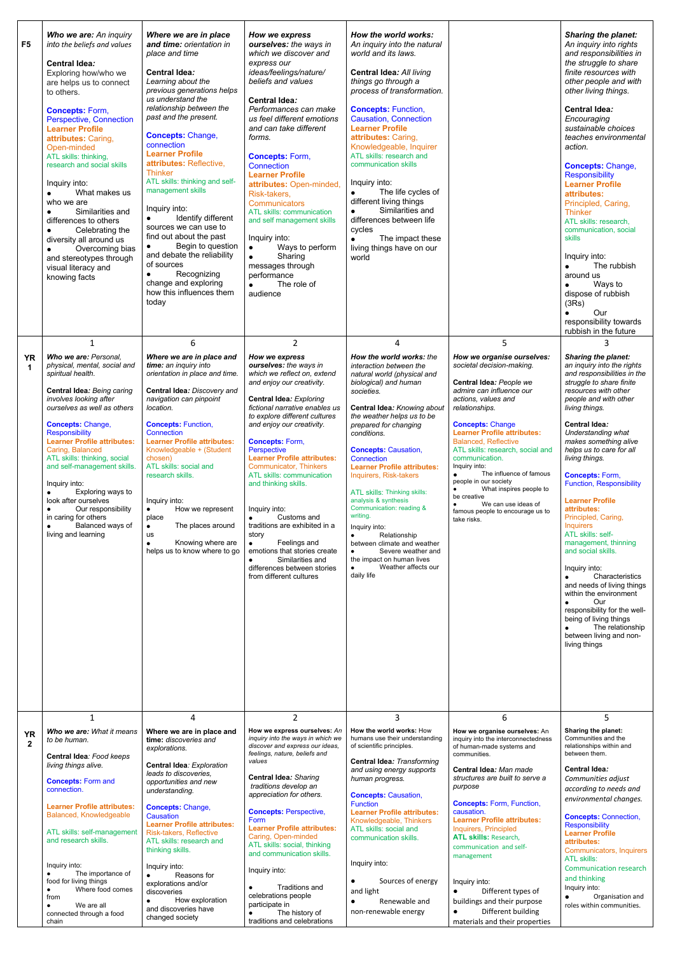| F <sub>5</sub>           | Who we are: An inquiry<br>into the beliefs and values<br><b>Central Idea:</b><br>Exploring how/who we<br>are helps us to connect<br>to others.<br><b>Concepts: Form,</b><br><b>Perspective, Connection</b><br><b>Learner Profile</b><br>attributes: Caring,<br>Open-minded<br>ATL skills: thinking,<br>research and social skills<br>Inquiry into:<br>What makes us<br>$\bullet$<br>who we are<br>Similarities and<br>$\bullet$<br>differences to others<br>Celebrating the<br>$\bullet$<br>diversity all around us<br>Overcoming bias<br>$\bullet$<br>and stereotypes through<br>visual literacy and<br>knowing facts<br>$\mathbf{1}$ | Where we are in place<br>and time: orientation in<br>place and time<br><b>Central Idea:</b><br>Learning about the<br>previous generations helps<br>us understand the<br>relationship between the<br>past and the present.<br><b>Concepts: Change,</b><br>connection<br><b>Learner Profile</b><br>attributes: Reflective,<br><b>Thinker</b><br>ATL skills: thinking and self-<br>management skills<br>Inquiry into:<br>Identify different<br>$\bullet$<br>sources we can use to<br>find out about the past<br>Begin to question<br>and debate the reliability<br>of sources<br>Recognizing<br>$\bullet$<br>change and exploring<br>how this influences them<br>today<br>6 | How we express<br>ourselves: the ways in<br>which we discover and<br>express our<br>ideas/feelings/nature/<br>beliefs and values<br><b>Central Idea:</b><br>Performances can make<br>us feel different emotions<br>and can take different<br>forms.<br><b>Concepts: Form,</b><br><b>Connection</b><br><b>Learner Profile</b><br>attributes: Open-minded,<br>Risk-takers,<br><b>Communicators</b><br>ATL skills: communication<br>and self management skills<br>Inquiry into:<br>Ways to perform<br>$\bullet$<br>Sharing<br>$\bullet$<br>messages through<br>performance<br>The role of<br>$\bullet$<br>audience<br>$\overline{2}$                   | How the world works:<br>An inquiry into the natural<br>world and its laws.<br><b>Central Idea: All living</b><br>things go through a<br>process of transformation.<br><b>Concepts: Function,</b><br><b>Causation, Connection</b><br><b>Learner Profile</b><br>attributes: Caring,<br>Knowledgeable, Inquirer<br>ATL skills: research and<br>communication skills<br>Inquiry into:<br>The life cycles of<br>$\bullet$<br>different living things<br>Similarities and<br>$\bullet$<br>differences between life<br>cycles<br>The impact these<br>living things have on our<br>world<br>$\overline{4}$                                         | 5                                                                                                                                                                                                                                                                                                                                                                                                                                                                                                                                             | <b>Sharing the planet:</b><br>An inquiry into rights<br>and responsibilities in<br>the struggle to share<br>finite resources with<br>other people and with<br>other living things.<br><b>Central Idea:</b><br>Encouraging<br>sustainable choices<br>teaches environmental<br>action.<br><b>Concepts: Change,</b><br><b>Responsibility</b><br><b>Learner Profile</b><br>attributes:<br>Principled, Caring,<br><b>Thinker</b><br>ATL skills: research,<br>communication, social<br><b>skills</b><br>Inquiry into:<br>The rubbish<br>around us<br>Ways to<br>dispose of rubbish<br>(3Rs)<br>Our<br>responsibility towards<br>rubbish in the future<br>3                                                                                                                            |
|--------------------------|----------------------------------------------------------------------------------------------------------------------------------------------------------------------------------------------------------------------------------------------------------------------------------------------------------------------------------------------------------------------------------------------------------------------------------------------------------------------------------------------------------------------------------------------------------------------------------------------------------------------------------------|--------------------------------------------------------------------------------------------------------------------------------------------------------------------------------------------------------------------------------------------------------------------------------------------------------------------------------------------------------------------------------------------------------------------------------------------------------------------------------------------------------------------------------------------------------------------------------------------------------------------------------------------------------------------------|-----------------------------------------------------------------------------------------------------------------------------------------------------------------------------------------------------------------------------------------------------------------------------------------------------------------------------------------------------------------------------------------------------------------------------------------------------------------------------------------------------------------------------------------------------------------------------------------------------------------------------------------------------|--------------------------------------------------------------------------------------------------------------------------------------------------------------------------------------------------------------------------------------------------------------------------------------------------------------------------------------------------------------------------------------------------------------------------------------------------------------------------------------------------------------------------------------------------------------------------------------------------------------------------------------------|-----------------------------------------------------------------------------------------------------------------------------------------------------------------------------------------------------------------------------------------------------------------------------------------------------------------------------------------------------------------------------------------------------------------------------------------------------------------------------------------------------------------------------------------------|---------------------------------------------------------------------------------------------------------------------------------------------------------------------------------------------------------------------------------------------------------------------------------------------------------------------------------------------------------------------------------------------------------------------------------------------------------------------------------------------------------------------------------------------------------------------------------------------------------------------------------------------------------------------------------------------------------------------------------------------------------------------------------|
| <b>YR</b><br>$\mathbf 1$ | Who we are: Personal,<br>physical, mental, social and<br>spiritual health.<br><b>Central Idea: Being caring</b><br>involves looking after<br>ourselves as well as others<br><b>Concepts: Change,</b><br><b>Responsibility</b><br><b>Learner Profile attributes:</b><br>Caring, Balanced<br>ATL skills: thinking, social<br>and self-management skills.<br>Inquiry into:<br>Exploring ways to<br>$\bullet$<br>look after ourselves<br>Our responsibility<br>$\bullet$<br>in caring for others<br>Balanced ways of<br>$\bullet$<br>living and learning                                                                                   | Where we are in place and<br>time: an inquiry into<br>orientation in place and time.<br>Central Idea: Discovery and<br>navigation can pinpoint<br>location.<br><b>Concepts: Function,</b><br>Connection<br><b>Learner Profile attributes:</b><br>Knowledgeable + (Student<br>chosen)<br>ATL skills: social and<br>research skills.<br>Inquiry into:<br>How we represent<br>$\bullet$<br>place<br>The places around<br>$\bullet$<br>us<br>Knowing where are<br>$\bullet$<br>helps us to know where to go                                                                                                                                                                  | How we express<br>ourselves: the ways in<br>which we reflect on, extend<br>and enjoy our creativity.<br><b>Central Idea: Exploring</b><br>fictional narrative enables us<br>to explore different cultures<br>and enjoy our creativity.<br><b>Concepts: Form,</b><br>Perspective<br><b>Learner Profile attributes:</b><br>Communicator, Thinkers<br>ATL skills: communication<br>and thinking skills.<br>Inquiry into:<br>Customs and<br>$\bullet$<br>traditions are exhibited in a<br>story<br>Feelings and<br>$\bullet$<br>emotions that stories create<br>Similarities and<br>$\bullet$<br>differences between stories<br>from different cultures | How the world works: the<br>interaction between the<br>natural world (physical and<br>biological) and human<br>societies.<br>Central Idea: Knowing about<br>the weather helps us to be<br>prepared for changing<br>conditions.<br><b>Concepts: Causation,</b><br>Connection<br><b>Learner Profile attributes:</b><br>Inquirers, Risk-takers<br>ATL skills: Thinking skills:<br>analysis & synthesis<br>Communication: reading &<br>writing.<br>Inquiry into:<br>Relationship<br>$\bullet$<br>between climate and weather<br>Severe weather and<br>$\bullet$<br>the impact on human lives<br>Weather affects our<br>$\bullet$<br>daily life | How we organise ourselves:<br>societal decision-making.<br>Central Idea: People we<br>admire can influence our<br>actions, values and<br>relationships.<br><b>Concepts: Change</b><br><b>Learner Profile attributes:</b><br><b>Balanced, Reflective</b><br>ATL skills: research, social and<br>communication.<br>Inquiry into:<br>The influence of famous<br>$\bullet$<br>people in our society<br>What inspires people to<br>$\bullet$<br>be creative<br>We can use ideas of<br>$\bullet$<br>famous people to encourage us to<br>take risks. | <b>Sharing the planet:</b><br>an inquiry into the rights<br>and responsibilities in the<br>struggle to share finite<br>resources with other<br>people and with other<br>living things.<br><b>Central Idea:</b><br>Understanding what<br>makes something alive<br>helps us to care for all<br>living things.<br><b>Concepts: Form,</b><br><b>Function, Responsibility</b><br><b>Learner Profile</b><br>attributes:<br>Principled, Caring,<br>Inquirers<br>ATL skills: self-<br>management, thinning<br>and social skills.<br>Inquiry into:<br>Characteristics<br>$\bullet$<br>and needs of living things<br>within the environment<br>Our<br>$\bullet$<br>responsibility for the well-<br>being of living things<br>The relationship<br>between living and non-<br>living things |
|                          | $\mathbf{1}$                                                                                                                                                                                                                                                                                                                                                                                                                                                                                                                                                                                                                           | 4                                                                                                                                                                                                                                                                                                                                                                                                                                                                                                                                                                                                                                                                        | $\overline{2}$                                                                                                                                                                                                                                                                                                                                                                                                                                                                                                                                                                                                                                      | $\overline{3}$                                                                                                                                                                                                                                                                                                                                                                                                                                                                                                                                                                                                                             | 6                                                                                                                                                                                                                                                                                                                                                                                                                                                                                                                                             | 5                                                                                                                                                                                                                                                                                                                                                                                                                                                                                                                                                                                                                                                                                                                                                                               |

| YR<br>$\mathbf{2}$ | <b>Who we are:</b> What it means<br>to be human.<br><b>Central Idea: Food keeps</b><br>living things alive.<br><b>Concepts: Form and</b><br>connection.<br><b>Learner Profile attributes:</b><br>Balanced, Knowledgeable<br>ATL skills: self-management<br>and research skills. | Where we are in place and<br>time: discoveries and<br>explorations.<br><b>Central Idea: Exploration</b><br>leads to discoveries,<br>opportunities and new<br>understanding.<br><b>Concepts: Change,</b><br>Causation<br><b>Learner Profile attributes:</b><br>Risk-takers, Reflective<br>ATL skills: research and<br>thinking skills. | How we express ourselves: An<br>inguiry into the ways in which we<br>discover and express our ideas,<br>feelings, nature, beliefs and<br>values<br><b>Central Idea: Sharing</b><br>traditions develop an<br>appreciation for others.<br><b>Concepts: Perspective,</b><br>Form<br><b>Learner Profile attributes:</b><br>Caring, Open-minded<br>ATL skills: social, thinking<br>and communication skills. | How the world works: How<br>humans use their understanding<br>of scientific principles.<br><b>Central Idea: Transforming</b><br>and using energy supports<br>human progress.<br><b>Concepts: Causation,</b><br><b>Function</b><br><b>Learner Profile attributes:</b><br>Knowledgeable, Thinkers<br>ATL skills: social and<br>communication skills. | How we organise ourselves: An<br>inquiry into the interconnectedness<br>of human-made systems and<br>communities.<br>Central Idea: Man made<br>structures are built to serve a<br>purpose<br><b>Concepts: Form, Function,</b><br>causation.<br><b>Learner Profile attributes:</b><br>Inquirers, Principled<br><b>ATL skills: Research,</b><br>communication and self-<br>management | Sharing the planet:<br>Communities and the<br>relationships within and<br>between them.<br><b>Central Idea:</b><br>Communities adjust<br>according to needs and<br>environmental changes.<br><b>Concepts: Connection,</b><br>Responsibility<br><b>Learner Profile</b><br>attributes:<br>Communicators, Inquirers |
|--------------------|---------------------------------------------------------------------------------------------------------------------------------------------------------------------------------------------------------------------------------------------------------------------------------|---------------------------------------------------------------------------------------------------------------------------------------------------------------------------------------------------------------------------------------------------------------------------------------------------------------------------------------|---------------------------------------------------------------------------------------------------------------------------------------------------------------------------------------------------------------------------------------------------------------------------------------------------------------------------------------------------------------------------------------------------------|----------------------------------------------------------------------------------------------------------------------------------------------------------------------------------------------------------------------------------------------------------------------------------------------------------------------------------------------------|-------------------------------------------------------------------------------------------------------------------------------------------------------------------------------------------------------------------------------------------------------------------------------------------------------------------------------------------------------------------------------------|------------------------------------------------------------------------------------------------------------------------------------------------------------------------------------------------------------------------------------------------------------------------------------------------------------------|
|                    | Inquiry into:<br>The importance of<br>food for living things<br>Where food comes<br>from<br>We are all<br>connected through a food<br>chain                                                                                                                                     | Inquiry into:<br>Reasons for<br>explorations and/or<br>discoveries<br>How exploration<br>and discoveries have<br>changed society                                                                                                                                                                                                      | Inquiry into:<br>Traditions and<br>celebrations people<br>participate in<br>The history of<br>traditions and celebrations                                                                                                                                                                                                                                                                               | Inquiry into:<br>Sources of energy<br>and light<br>Renewable and<br>non-renewable energy                                                                                                                                                                                                                                                           | Inquiry into:<br>Different types of<br>buildings and their purpose<br>Different building<br>materials and their properties                                                                                                                                                                                                                                                          | ATL skills:<br>Communication research<br>and thinking<br>Inquiry into:<br>Organisation and<br>roles within communities.                                                                                                                                                                                          |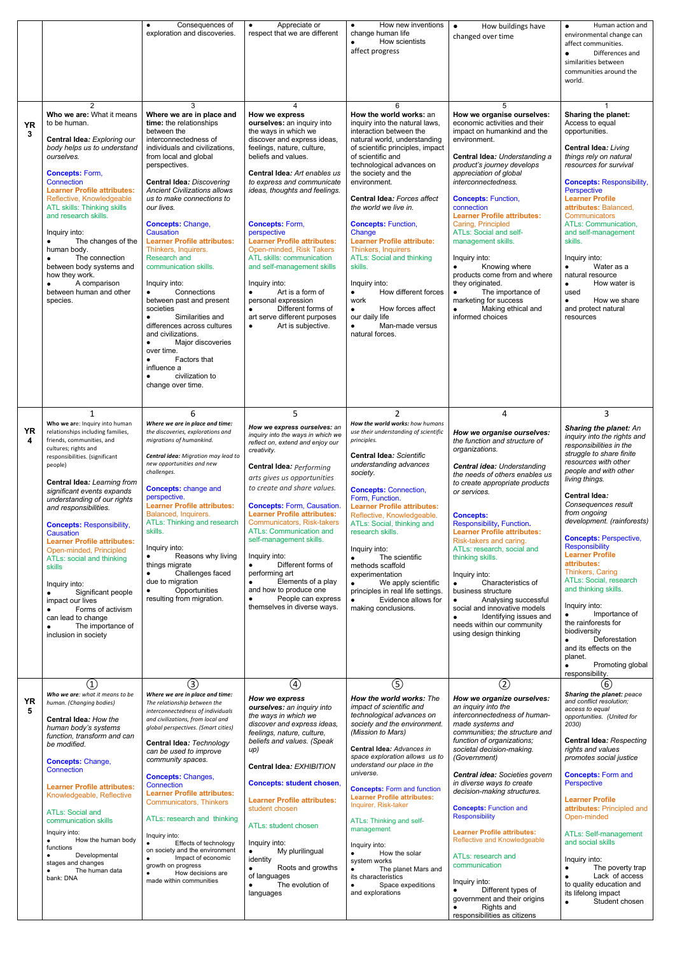|                |                                                                                                                                                                                                                                                                                                                                                                                                                                                                                                                                                                                                 | Consequences of<br>exploration and discoveries.                                                                                                                                                                                                                                                                                                                                                                                                                                                                                                                                                                                                                                                                                                               | Appreciate or<br>$\bullet$<br>respect that we are different                                                                                                                                                                                                                                                                                                                                                                                                                                                                                                                                                       | How new inventions<br>$\bullet$<br>change human life<br>How scientists<br>affect progress                                                                                                                                                                                                                                                                                                                                                                                                                                                                                                                                                     | How buildings have<br>$\bullet$<br>changed over time                                                                                                                                                                                                                                                                                                                                                                                                                                                                                                                                                                     | Human action and<br>$\bullet$<br>environmental change can<br>affect communities.                                                                                                                                                                                                                                                                                                                                                                                                                                                                                                                                                                      |
|----------------|-------------------------------------------------------------------------------------------------------------------------------------------------------------------------------------------------------------------------------------------------------------------------------------------------------------------------------------------------------------------------------------------------------------------------------------------------------------------------------------------------------------------------------------------------------------------------------------------------|---------------------------------------------------------------------------------------------------------------------------------------------------------------------------------------------------------------------------------------------------------------------------------------------------------------------------------------------------------------------------------------------------------------------------------------------------------------------------------------------------------------------------------------------------------------------------------------------------------------------------------------------------------------------------------------------------------------------------------------------------------------|-------------------------------------------------------------------------------------------------------------------------------------------------------------------------------------------------------------------------------------------------------------------------------------------------------------------------------------------------------------------------------------------------------------------------------------------------------------------------------------------------------------------------------------------------------------------------------------------------------------------|-----------------------------------------------------------------------------------------------------------------------------------------------------------------------------------------------------------------------------------------------------------------------------------------------------------------------------------------------------------------------------------------------------------------------------------------------------------------------------------------------------------------------------------------------------------------------------------------------------------------------------------------------|--------------------------------------------------------------------------------------------------------------------------------------------------------------------------------------------------------------------------------------------------------------------------------------------------------------------------------------------------------------------------------------------------------------------------------------------------------------------------------------------------------------------------------------------------------------------------------------------------------------------------|-------------------------------------------------------------------------------------------------------------------------------------------------------------------------------------------------------------------------------------------------------------------------------------------------------------------------------------------------------------------------------------------------------------------------------------------------------------------------------------------------------------------------------------------------------------------------------------------------------------------------------------------------------|
|                |                                                                                                                                                                                                                                                                                                                                                                                                                                                                                                                                                                                                 |                                                                                                                                                                                                                                                                                                                                                                                                                                                                                                                                                                                                                                                                                                                                                               |                                                                                                                                                                                                                                                                                                                                                                                                                                                                                                                                                                                                                   |                                                                                                                                                                                                                                                                                                                                                                                                                                                                                                                                                                                                                                               |                                                                                                                                                                                                                                                                                                                                                                                                                                                                                                                                                                                                                          | Differences and<br>$\bullet$<br>similarities between<br>communities around the<br>world.                                                                                                                                                                                                                                                                                                                                                                                                                                                                                                                                                              |
| <b>YR</b><br>3 | 2<br>Who we are: What it means<br>to be human.<br>Central Idea: Exploring our<br>body helps us to understand<br>ourselves.<br><b>Concepts: Form,</b><br>Connection<br><b>Learner Profile attributes:</b><br>Reflective, Knowledgeable<br>ATL skills: Thinking skills<br>and research skills.<br>Inquiry into:<br>The changes of the<br>$\bullet$<br>human body.<br>The connection<br>between body systems and<br>how they work.<br>A comparison<br>between human and other<br>species.                                                                                                          | 3<br>Where we are in place and<br>time: the relationships<br>between the<br>interconnectedness of<br>individuals and civilizations,<br>from local and global<br>perspectives.<br><b>Central Idea: Discovering</b><br><b>Ancient Civilizations allows</b><br>us to make connections to<br>our lives.<br><b>Concepts: Change,</b><br>Causation<br><b>Learner Profile attributes:</b><br>Thinkers, Inquirers.<br><b>Research and</b><br>communication skills.<br>Inquiry into:<br>Connections<br>$\bullet$<br>between past and present<br>societies<br>Similarities and<br>differences across cultures<br>and civilizations.<br>Major discoveries<br>$\bullet$<br>over time.<br>Factors that<br>$\bullet$<br>influence a<br>civilization to<br>change over time. | 4<br>How we express<br>ourselves: an inquiry into<br>the ways in which we<br>discover and express ideas,<br>feelings, nature, culture,<br>beliefs and values.<br>Central Idea: Art enables us<br>to express and communicate<br>ideas, thoughts and feelings.<br><b>Concepts: Form,</b><br>perspective<br><b>Learner Profile attributes:</b><br>Open-minded, Risk Takers<br>ATL skills: communication<br>and self-management skills<br>Inquiry into:<br>Art is a form of<br>$\bullet$<br>personal expression<br>Different forms of<br>$\bullet$<br>art serve different purposes<br>Art is subjective.<br>$\bullet$ | 6<br>How the world works: an<br>inquiry into the natural laws,<br>interaction between the<br>natural world, understanding<br>of scientific principles, impact<br>of scientific and<br>technological advances on<br>the society and the<br>environment.<br><b>Central Idea: Forces affect</b><br>the world we live in.<br><b>Concepts: Function,</b><br>Change<br><b>Learner Profile attribute:</b><br>Thinkers, Inquirers<br><b>ATLs: Social and thinking</b><br>skills.<br>Inquiry into:<br>How different forces<br>$\bullet$<br>work<br>How forces affect<br>$\bullet$<br>our daily life<br>Man-made versus<br>$\bullet$<br>natural forces. | 5<br>How we organise ourselves:<br>economic activities and their<br>impact on humankind and the<br>environment.<br>Central Idea: Understanding a<br>product's journey develops<br>appreciation of global<br>interconnectedness.<br><b>Concepts: Function,</b><br>connection<br><b>Learner Profile attributes:</b><br>Caring, Principled<br><b>ATLs: Social and self-</b><br>management skills.<br>Inquiry into:<br>Knowing where<br>$\bullet$<br>products come from and where<br>they originated.<br>The importance of<br>marketing for success<br>Making ethical and<br>$\bullet$<br>informed choices                   | <b>Sharing the planet:</b><br>Access to equal<br>opportunities.<br><b>Central Idea: Living</b><br>things rely on natural<br>resources for survival<br><b>Concepts: Responsibility,</b><br>Perspective<br><b>Learner Profile</b><br>attributes: Balanced.<br>Communicators<br>ATLs: Communication,<br>and self-management<br>skills.<br>Inquiry into:<br>Water as a<br>$\bullet$<br>natural resource<br>How water is<br>$\bullet$<br>used<br>How we share<br>$\bullet$<br>and protect natural<br>resources                                                                                                                                             |
|                | Who we are: Inquiry into human                                                                                                                                                                                                                                                                                                                                                                                                                                                                                                                                                                  | 6<br>Where we are in place and time:                                                                                                                                                                                                                                                                                                                                                                                                                                                                                                                                                                                                                                                                                                                          | 5                                                                                                                                                                                                                                                                                                                                                                                                                                                                                                                                                                                                                 | 2<br>How the world works: how humans                                                                                                                                                                                                                                                                                                                                                                                                                                                                                                                                                                                                          | 4                                                                                                                                                                                                                                                                                                                                                                                                                                                                                                                                                                                                                        | 3                                                                                                                                                                                                                                                                                                                                                                                                                                                                                                                                                                                                                                                     |
| <b>YR</b><br>4 | relationships including families,<br>friends, communities, and<br>cultures; rights and<br>responsibilities. (significant<br>people)<br><b>Central Idea: Learning from</b><br>significant events expands<br>understanding of our rights<br>and responsibilities.<br><b>Concepts: Responsibility,</b><br>Causation<br><b>Learner Profile attributes:</b><br>Open-minded, Principled<br>ATLs: social and thinking<br><b>skills</b><br>Inquiry into:<br>Significant people<br>impact our lives<br>Forms of activism<br>can lead to change<br>The importance of<br>$\bullet$<br>inclusion in society | the discoveries, explorations and<br>migrations of humankind.<br>Central idea: Migration may lead to<br>new opportunities and new<br>challenges.<br><b>Concepts: change and</b><br>perspective.<br><b>Learner Profile attributes:</b><br>Balanced, Inquirers.<br><b>ATLs: Thinking and research</b><br>skills.<br>Inquiry into:<br>Reasons why living<br>things migrate<br>Challenges faced<br>$\bullet$<br>due to migration<br>Opportunities<br>resulting from migration.                                                                                                                                                                                                                                                                                    | How we express ourselves: an<br>inquiry into the ways in which we<br>reflect on, extend and enjoy our<br>creativity.<br><b>Central Idea: Performing</b><br>arts gives us opportunities<br>to create and share values.<br><b>Concepts: Form, Causation.</b><br><b>Learner Profile attributes:</b><br>Communicators, Risk-takers<br><b>ATLs: Communication and</b><br>self-management skills.<br>Inquiry into:<br>Different forms of<br>performing art<br>Elements of a play<br>and how to produce one<br>People can express<br>$\bullet$<br>themselves in diverse ways.                                            | use their understanding of scientific<br>principles.<br><b>Central Idea: Scientific</b><br>understanding advances<br>society.<br><b>Concepts: Connection,</b><br>Form, Function.<br><b>Learner Profile attributes:</b><br>Reflective, Knowledgeable.<br>ATLs: Social, thinking and<br>research skills.<br>Inquiry into:<br>The scientific<br>$\bullet$<br>methods scaffold<br>experimentation<br>We apply scientific<br>$\bullet$<br>principles in real life settings.<br>Evidence allows for<br>$\bullet$<br>making conclusions.                                                                                                             | How we organise ourselves:<br>the function and structure of<br>organizations.<br><b>Central idea: Understanding</b><br>the needs of others enables us<br>to create appropriate products<br>or services.<br><b>Concepts:</b><br>Responsibility, Function.<br><b>Learner Profile attributes:</b><br>Risk-takers and caring.<br>ATLs: research, social and<br>thinking skills.<br>Inquiry into:<br>Characteristics of<br>$\bullet$<br>business structure<br>Analysing successful<br>$\bullet$<br>social and innovative models<br>Identifying issues and<br>$\bullet$<br>needs within our community<br>using design thinking | <b>Sharing the planet: An</b><br>inquiry into the rights and<br>responsibilities in the<br>struggle to share finite<br>resources with other<br>people and with other<br>living things.<br>Central Idea:<br>Consequences result<br>from ongoing<br>development. (rainforests)<br><b>Concepts: Perspective,</b><br><b>Responsibility</b><br><b>Learner Profile</b><br>attributes:<br>Thinkers, Caring<br>ATLs: Social, research<br>and thinking skills.<br>Inquiry into:<br>Importance of<br>the rainforests for<br>biodiversity<br>Deforestation<br>$\bullet$<br>and its effects on the<br>planet.<br>Promoting global<br>$\bullet$<br>responsibility. |
| <b>YR</b><br>5 | $\left( 1\right)$<br>Who we are: what it means to be<br>human. (Changing bodies)<br><b>Central Idea: How the</b>                                                                                                                                                                                                                                                                                                                                                                                                                                                                                | 3<br>Where we are in place and time:<br>The relationship between the<br>interconnectedness of individuals<br>and civilizations, from local and                                                                                                                                                                                                                                                                                                                                                                                                                                                                                                                                                                                                                | $\circled{4}$<br>How we express<br>ourselves: an inquiry into<br>the ways in which we                                                                                                                                                                                                                                                                                                                                                                                                                                                                                                                             | $\circledS$<br>How the world works: The<br>impact of scientific and<br>technological advances on                                                                                                                                                                                                                                                                                                                                                                                                                                                                                                                                              | $\circled{2}$<br>How we organize ourselves:<br>an inquiry into the<br>interconnectedness of human-                                                                                                                                                                                                                                                                                                                                                                                                                                                                                                                       | (6)<br><b>Sharing the planet: peace</b><br>and conflict resolution;<br>access to equal<br>opportunities. (United for                                                                                                                                                                                                                                                                                                                                                                                                                                                                                                                                  |

| Genual luea. <i>Huw lile</i><br>human body's systems<br>function, transform and can<br>be modified.   | and civilizations, from focul and<br>global perspectives. (Smart cities)<br>Central Idea: Technology<br>can be used to improve                      | discover and express ideas,<br>feelings, nature, culture,<br>beliefs and values. (Speak<br>up)                     | society and the environment.<br>(Mission to Mars)<br><b>Central Idea: Advances in</b>                                                 | made systems and<br>communities; the structure and<br>function of organizations;<br>societal decision-making.                                                                            | . .<br>2030)<br><b>Central Idea: Respecting</b><br>rights and values                                                                                       |
|-------------------------------------------------------------------------------------------------------|-----------------------------------------------------------------------------------------------------------------------------------------------------|--------------------------------------------------------------------------------------------------------------------|---------------------------------------------------------------------------------------------------------------------------------------|------------------------------------------------------------------------------------------------------------------------------------------------------------------------------------------|------------------------------------------------------------------------------------------------------------------------------------------------------------|
| <b>Concepts: Change,</b><br>Connection                                                                | community spaces.<br><b>Concepts: Changes,</b>                                                                                                      | Central Idea: EXHIBITION                                                                                           | space exploration allows us to<br>understand our place in the<br>universe.                                                            | (Government)<br><b>Central idea:</b> Societies govern                                                                                                                                    | promotes social justice<br><b>Concepts: Form and</b>                                                                                                       |
| <b>Learner Profile attributes:</b><br>Knowledgeable, Reflective                                       | Connection<br><b>Learner Profile attributes:</b><br>Communicators, Thinkers                                                                         | <b>Concepts: student chosen,</b><br><b>Learner Profile attributes:</b>                                             | <b>Concepts:</b> Form and function<br><b>Learner Profile attributes:</b><br>Inquirer, Risk-taker                                      | in diverse ways to create<br>decision-making structures.                                                                                                                                 | <b>Perspective</b><br><b>Learner Profile</b>                                                                                                               |
| <b>ATLs: Social and</b><br>communication skills<br>Inquiry into:                                      | ATLs: research and thinking<br>Inquiry into:                                                                                                        | student chosen<br>ATLs: student chosen                                                                             | ATLs: Thinking and self-<br>management                                                                                                | <b>Concepts: Function and</b><br><b>Responsibility</b><br><b>Learner Profile attributes:</b>                                                                                             | <b>attributes: Principled and</b><br>Open-minded<br>ATLs: Self-management                                                                                  |
| How the human body<br>functions<br>Developmental<br>stages and changes<br>The human data<br>bank: DNA | Effects of technology<br>on society and the environment<br>Impact of economic<br>growth on progress<br>How decisions are<br>made within communities | Inquiry into:<br>My plurilingual<br>identity<br>Roots and growths<br>of languages<br>The evolution of<br>languages | Inquiry into:<br>How the solar<br>system works<br>The planet Mars and<br>its characteristics<br>Space expeditions<br>and explorations | Reflective and Knowledgeable<br>ATLs: research and<br>communication<br>Inquiry into:<br>Different types of<br>government and their origins<br>Rights and<br>responsibilities as citizens | and social skills<br>Inquiry into:<br>The poverty trap<br>Lack of access<br>to quality education and<br>its lifelong impact<br>Student chosen<br>$\bullet$ |